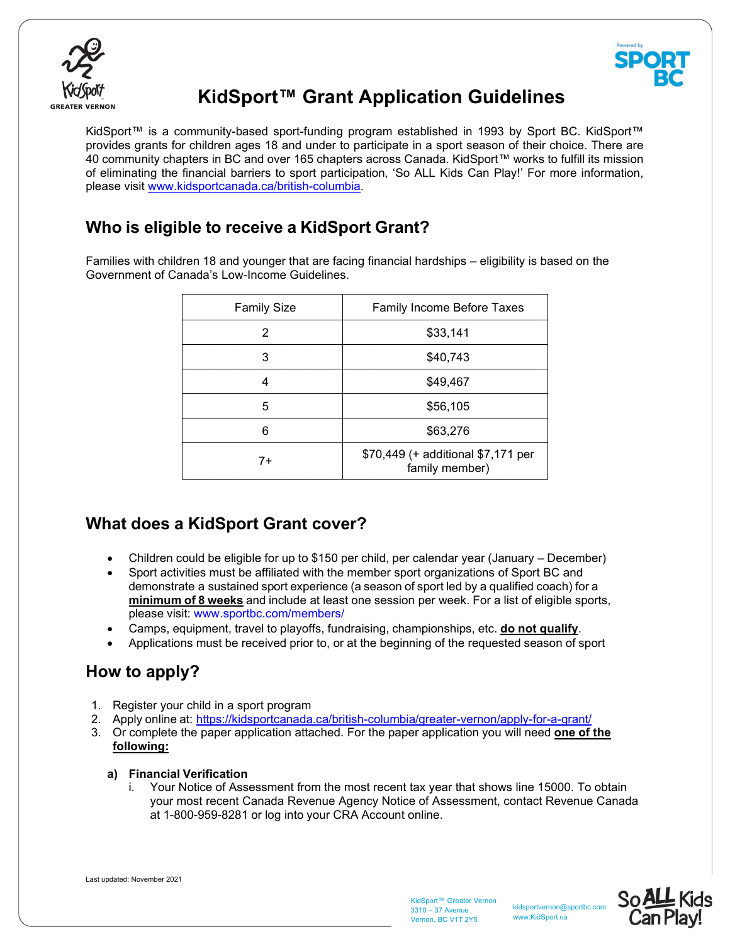



# **KidSport™ Grant Application Guidelines**

KidSport™ is a community-based sport-funding program established in 1993 by Sport BC. KidSport™ provides grants for children ages 18 and under to participate in a sport season of their choice. There are 40 community chapters in BC and over 165 chapters across Canada. KidSport™ works to fulfill its mission of eliminating the financial barriers to sport participation, 'So ALL Kids Can Play!' For more information, please visit www.kidsportcanada.ca/british-columbia.

## **Who is eligible to receive a KidSport Grant?**

Families with children 18 and younger that are facing financial hardships – eligibility is based on the Government of Canada's Low-Income Guidelines.

| <b>Family Size</b> | <b>Family Income Before Taxes</b>                    |
|--------------------|------------------------------------------------------|
| 2                  | \$33,141                                             |
| 3                  | \$40,743                                             |
| 4                  | \$49,467                                             |
| 5                  | \$56,105                                             |
| 6                  | \$63,276                                             |
| $7+$               | \$70,449 (+ additional \$7,171 per<br>family member) |

## **What does a KidSport Grant cover?**

- Children could be eligible for up to \$150 per child, per calendar year (January December)
- Sport activities must be affiliated with the member sport organizations of Sport BC and demonstrate a sustained sport experience (a season of sport led by a qualified coach) for a **minimum of 8 weeks** and include at least one session per week. For a list of eligible sports, please visit: www.sportbc.com/members/
- Camps, equipment, travel to playoffs, fundraising, championships, etc. **do not qualify**.
- Applications must be received prior to, or at the beginning of the requested season of sport

# **How to apply?**

- 1. Register your child in a sport program
- 2. Apply online at: https://kidsportcanada.ca/british-columbia/greater-vernon/apply-for-a-grant/
- 3. Or complete the paper application attached. For the paper application you will need **one of the following:**

## **a) Financial Verification**

Your Notice of Assessment from the most recent tax year that shows line 15000. To obtain your most recent Canada Revenue Agency Notice of Assessment, contact Revenue Canada at 1-800-959-8281 or log into your CRA Account online.

Last updated: November 2021

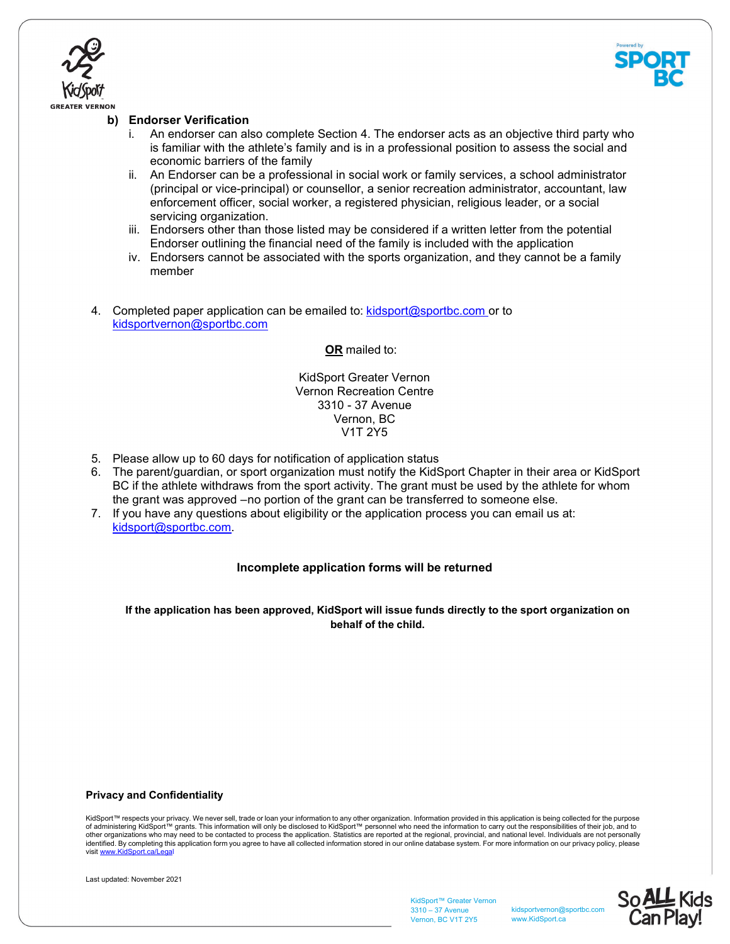



## **b) Endorser Verification**

- i. An endorser can also complete Section 4. The endorser acts as an objective third party who is familiar with the athlete's family and is in a professional position to assess the social and economic barriers of the family
- ii. An Endorser can be a professional in social work or family services, a school administrator (principal or vice-principal) or counsellor, a senior recreation administrator, accountant, law enforcement officer, social worker, a registered physician, religious leader, or a social servicing organization.
- iii. Endorsers other than those listed may be considered if a written letter from the potential Endorser outlining the financial need of the family is included with the application
- iv. Endorsers cannot be associated with the sports organization, and they cannot be a family member
- 4. Completed paper application can be emailed to: kidsport@sportbc.com or to kidsportvernon@sportbc.com

**OR** mailed to:

KidSport Greater Vernon Vernon Recreation Centre 3310 - 37 Avenue Vernon, BC V1T 2Y5

- 5. Please allow up to 60 days for notification of application status
- 6. The parent/guardian, or sport organization must notify the KidSport Chapter in their area or KidSport BC if the athlete withdraws from the sport activity. The grant must be used by the athlete for whom the grant was approved – no portion of the grant can be transferred to someone else.
- 7. If you have any questions about eligibility or the application process you can email us at: kidsport@sportbc.com.

## **Incomplete application forms will be returned**

**If the application has been approved, KidSport will issue funds directly to the sport organization on behalf of the child.**

#### **Privacy and Confidentiality**

KidSport™ respects your privacy. We never sell, trade or loan your information to any other organization. Information provided in this application is being collected for the purpose of administering KidSport™ grants. This information will only be disclosed to KidSport™ personnel who need the information to carry out the responsibilities of their job, and to<br>other organizations who may need to be cont visit www.KidSport.ca/Legal



KidSport™ Greater Vernon 3310 – 37 Avenue Vernon, BC V1T 2Y5

kidsportvernon@sportbc.com www.KidSport.ca